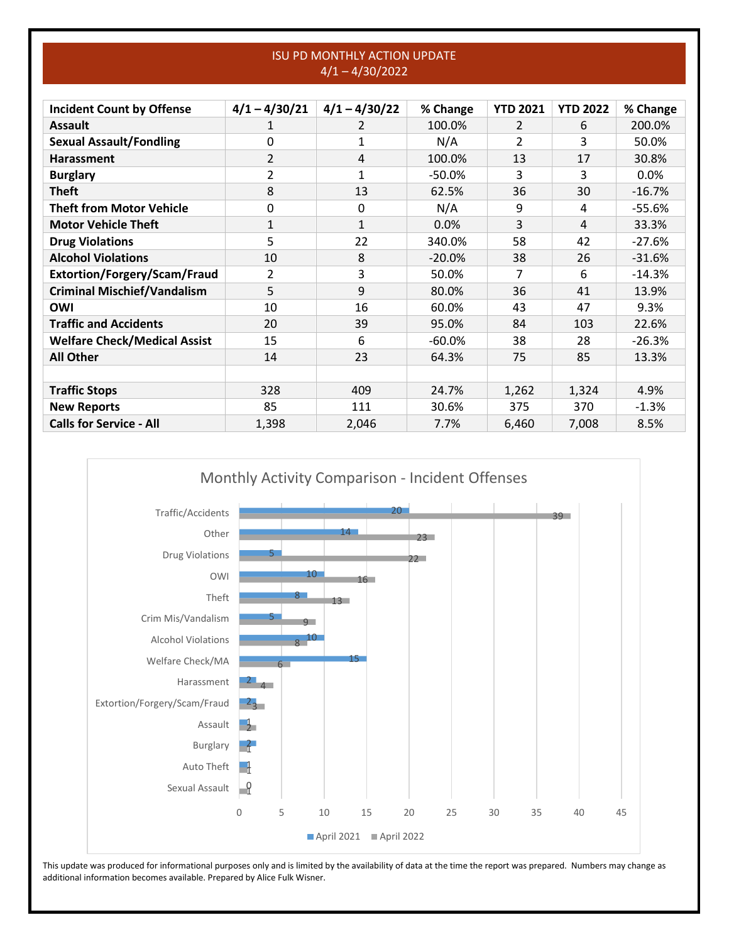## ISU PD MONTHLY ACTION UPDATE 4/1 – 4/30/2022

| <b>Incident Count by Offense</b>    | $4/1 - 4/30/21$ | $4/1 - 4/30/22$ | % Change  | <b>YTD 2021</b> | <b>YTD 2022</b> | % Change |
|-------------------------------------|-----------------|-----------------|-----------|-----------------|-----------------|----------|
| <b>Assault</b>                      | 1               | 2               | 100.0%    | 2               | 6               | 200.0%   |
| <b>Sexual Assault/Fondling</b>      | 0               | 1               | N/A       | 2               | 3               | 50.0%    |
| <b>Harassment</b>                   | 2               | 4               | 100.0%    | 13              | 17              | 30.8%    |
| <b>Burglary</b>                     | 2               | 1               | $-50.0%$  | 3               | 3               | 0.0%     |
| <b>Theft</b>                        | 8               | 13              | 62.5%     | 36              | 30              | $-16.7%$ |
| <b>Theft from Motor Vehicle</b>     | 0               | $\Omega$        | N/A       | 9               | 4               | $-55.6%$ |
| <b>Motor Vehicle Theft</b>          | $\mathbf{1}$    | 1               | 0.0%      | 3               | 4               | 33.3%    |
| <b>Drug Violations</b>              | 5               | 22              | 340.0%    | 58              | 42              | $-27.6%$ |
| <b>Alcohol Violations</b>           | 10              | 8               | $-20.0%$  | 38              | 26              | $-31.6%$ |
| Extortion/Forgery/Scam/Fraud        | 2               | 3               | 50.0%     | 7               | 6               | $-14.3%$ |
| <b>Criminal Mischief/Vandalism</b>  | 5               | 9               | 80.0%     | 36              | 41              | 13.9%    |
| <b>OWI</b>                          | 10              | 16              | 60.0%     | 43              | 47              | 9.3%     |
| <b>Traffic and Accidents</b>        | 20              | 39              | 95.0%     | 84              | 103             | 22.6%    |
| <b>Welfare Check/Medical Assist</b> | 15              | 6               | $-60.0\%$ | 38              | 28              | $-26.3%$ |
| <b>All Other</b>                    | 14              | 23              | 64.3%     | 75              | 85              | 13.3%    |
|                                     |                 |                 |           |                 |                 |          |
| <b>Traffic Stops</b>                | 328             | 409             | 24.7%     | 1,262           | 1,324           | 4.9%     |
| <b>New Reports</b>                  | 85              | 111             | 30.6%     | 375             | 370             | $-1.3%$  |
| <b>Calls for Service - All</b>      | 1,398           | 2,046           | 7.7%      | 6,460           | 7,008           | 8.5%     |

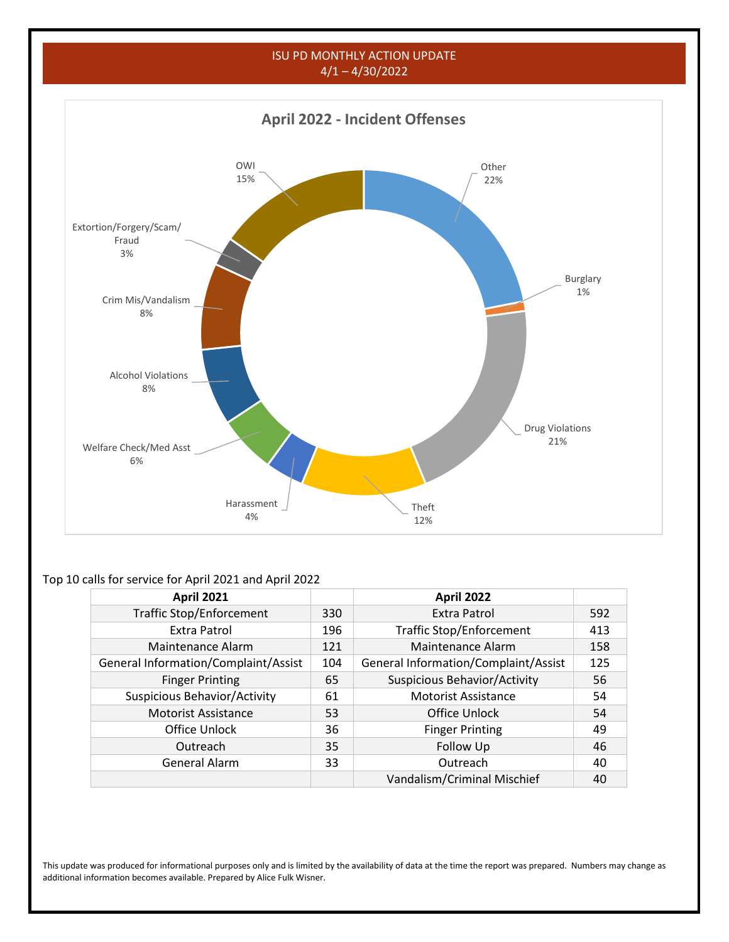## ISU PD MONTHLY ACTION UPDATE 4/1 – 4/30/2022



## Top 10 calls for service for April 2021 and April 2022

| <b>April 2021</b>                    |    | <b>April 2022</b>                    |     |
|--------------------------------------|----|--------------------------------------|-----|
| <b>Traffic Stop/Enforcement</b>      |    | Extra Patrol                         | 592 |
| Extra Patrol                         |    | <b>Traffic Stop/Enforcement</b>      | 413 |
| Maintenance Alarm                    |    | Maintenance Alarm                    | 158 |
| General Information/Complaint/Assist |    | General Information/Complaint/Assist | 125 |
| <b>Finger Printing</b>               |    | Suspicious Behavior/Activity         | 56  |
| Suspicious Behavior/Activity         | 61 | <b>Motorist Assistance</b>           | 54  |
| <b>Motorist Assistance</b>           | 53 | Office Unlock                        | 54  |
| Office Unlock                        | 36 | <b>Finger Printing</b>               | 49  |
| Outreach                             | 35 | Follow Up                            | 46  |
| <b>General Alarm</b>                 | 33 | Outreach                             | 40  |
|                                      |    | Vandalism/Criminal Mischief          | 40  |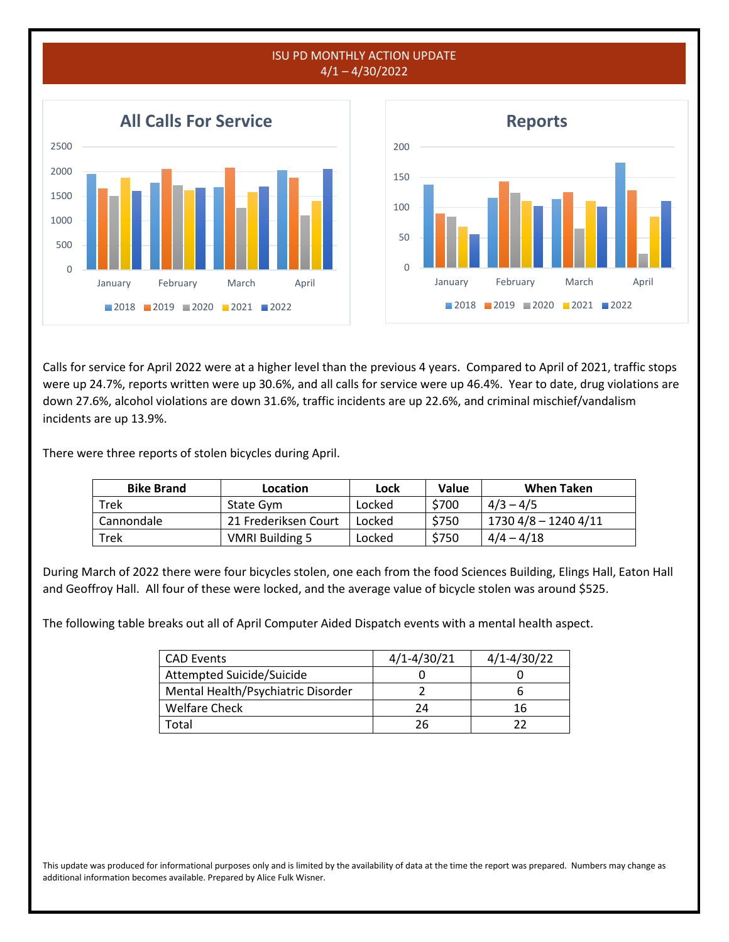

Calls for service for April 2022 were at a higher level than the previous 4 years. Compared to April of 2021, traffic stops were up 24.7%, reports written were up 30.6%, and all calls for service were up 46.4%. Year to date, drug violations are down 27.6%, alcohol violations are down 31.6%, traffic incidents are up 22.6%, and criminal mischief/vandalism incidents are up 13.9%.

There were three reports of stolen bicycles during April.

| <b>Bike Brand</b> | Location               | Lock   | Value | When Taken           |
|-------------------|------------------------|--------|-------|----------------------|
| Trek              | State Gym              | Locked | \$700 | $4/3 - 4/5$          |
| Cannondale        | 21 Frederiksen Court   | Locked | \$750 | 1730 4/8 - 1240 4/11 |
| Trek              | <b>VMRI Building 5</b> | Locked | \$750 | $4/4 - 4/18$         |

During March of 2022 there were four bicycles stolen, one each from the food Sciences Building, Elings Hall, Eaton Hall and Geoffroy Hall. All four of these were locked, and the average value of bicycle stolen was around \$525.

The following table breaks out all of April Computer Aided Dispatch events with a mental health aspect.

| <b>CAD Events</b>                  | $4/1 - 4/30/21$ | $4/1 - 4/30/22$ |
|------------------------------------|-----------------|-----------------|
| Attempted Suicide/Suicide          |                 |                 |
| Mental Health/Psychiatric Disorder |                 |                 |
| <b>Welfare Check</b>               | 24              | 16              |
| otal.                              | 26              |                 |